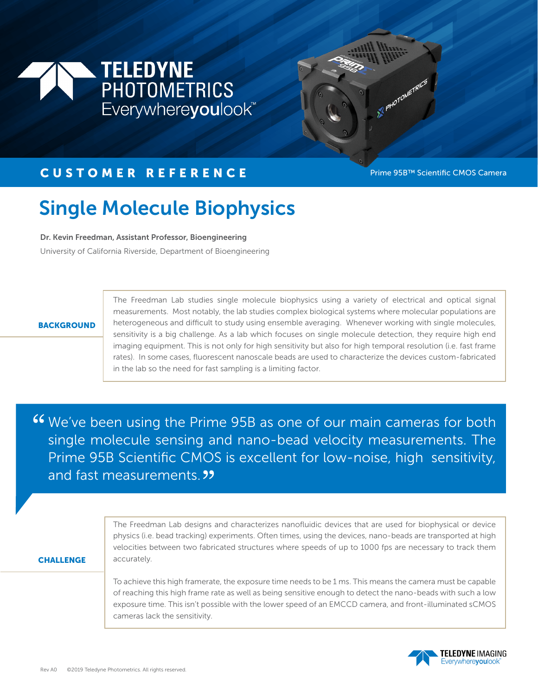



## CUSTOMER REFERENCE Prime 95B™ Scientific CMOS Camera

# Single Molecule Biophysics

Dr. Kevin Freedman, Assistant Professor, Bioengineering

University of California Riverside, Department of Bioengineering

#### **BACKGROUND**

The Freedman Lab studies single molecule biophysics using a variety of electrical and optical signal measurements. Most notably, the lab studies complex biological systems where molecular populations are heterogeneous and difficult to study using ensemble averaging. Whenever working with single molecules, sensitivity is a big challenge. As a lab which focuses on single molecule detection, they require high end imaging equipment. This is not only for high sensitivity but also for high temporal resolution (i.e. fast frame rates). In some cases, fluorescent nanoscale beads are used to characterize the devices custom-fabricated in the lab so the need for fast sampling is a limiting factor.

We've been using the Prime 95B as one of our main cameras for both " single molecule sensing and nano-bead velocity measurements. The Prime 95B Scientific CMOS is excellent for low-noise, high sensitivity, Prime 95B Scientific CMO:<br>and fast measurements. 33

#### **CHALLENGE**

The Freedman Lab designs and characterizes nanofluidic devices that are used for biophysical or device physics (i.e. bead tracking) experiments. Often times, using the devices, nano-beads are transported at high velocities between two fabricated structures where speeds of up to 1000 fps are necessary to track them accurately.

To achieve this high framerate, the exposure time needs to be 1 ms. This means the camera must be capable of reaching this high frame rate as well as being sensitive enough to detect the nano-beads with such a low exposure time. This isn't possible with the lower speed of an EMCCD camera, and front-illuminated sCMOS cameras lack the sensitivity.